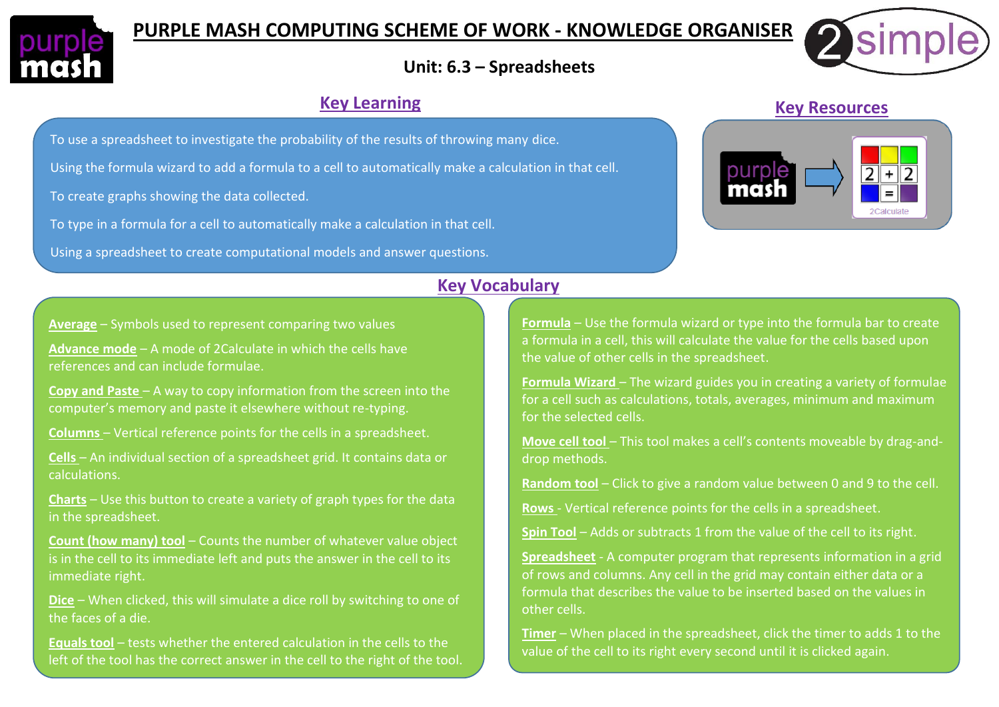

# **PURPLE MASH COMPUTING SCHEME OF WORK - KNOWLEDGE ORGANISER**



## **Unit: 6.3 – Spreadsheets**

### **Key Learning**

To use a spreadsheet to investigate the probability of the results of throwing many dice.

Using the formula wizard to add a formula to a cell to automatically make a calculation in that cell.

To create graphs showing the data collected.

To type in a formula for a cell to automatically make a calculation in that cell.

Using a spreadsheet to create computational models and answer questions.

### **Key Vocabulary**

**Average** – Symbols used to represent comparing two values

**Advance mode** – A mode of 2Calculate in which the cells have references and can include formulae.

**Copy and Paste** – A way to copy information from the screen into the computer's memory and paste it elsewhere without re-typing.

**Columns** – Vertical reference points for the cells in a spreadsheet.

**Cells** – An individual section of a spreadsheet grid. It contains data or calculations.

**Charts** – Use this button to create a variety of graph types for the data in the spreadsheet.

**Count (how many) tool** – Counts the number of whatever value object is in the cell to its immediate left and puts the answer in the cell to its immediate right.

**Dice** – When clicked, this will simulate a dice roll by switching to one of the faces of a die.

**Equals tool** – tests whether the entered calculation in the cells to the left of the tool has the correct answer in the cell to the right of the tool. **Formula** – Use the formula wizard or type into the formula bar to create a formula in a cell, this will calculate the value for the cells based upon the value of other cells in the spreadsheet.

**Formula Wizard** – The wizard guides you in creating a variety of formulae for a cell such as calculations, totals, averages, minimum and maximum for the selected cells.

**Move cell tool** – This tool makes a cell's contents moveable by drag-anddrop methods.

**Random tool** – Click to give a random value between 0 and 9 to the cell.

**Rows** - Vertical reference points for the cells in a spreadsheet.

**Spin Tool** – Adds or subtracts 1 from the value of the cell to its right.

**Spreadsheet** - A computer program that represents information in a grid of rows and columns. Any cell in the grid may contain either data or a formula that describes the value to be inserted based on the values in other cells.

**Timer** – When placed in the spreadsheet, click the timer to adds 1 to the value of the cell to its right every second until it is clicked again.

#### **Key Resources**